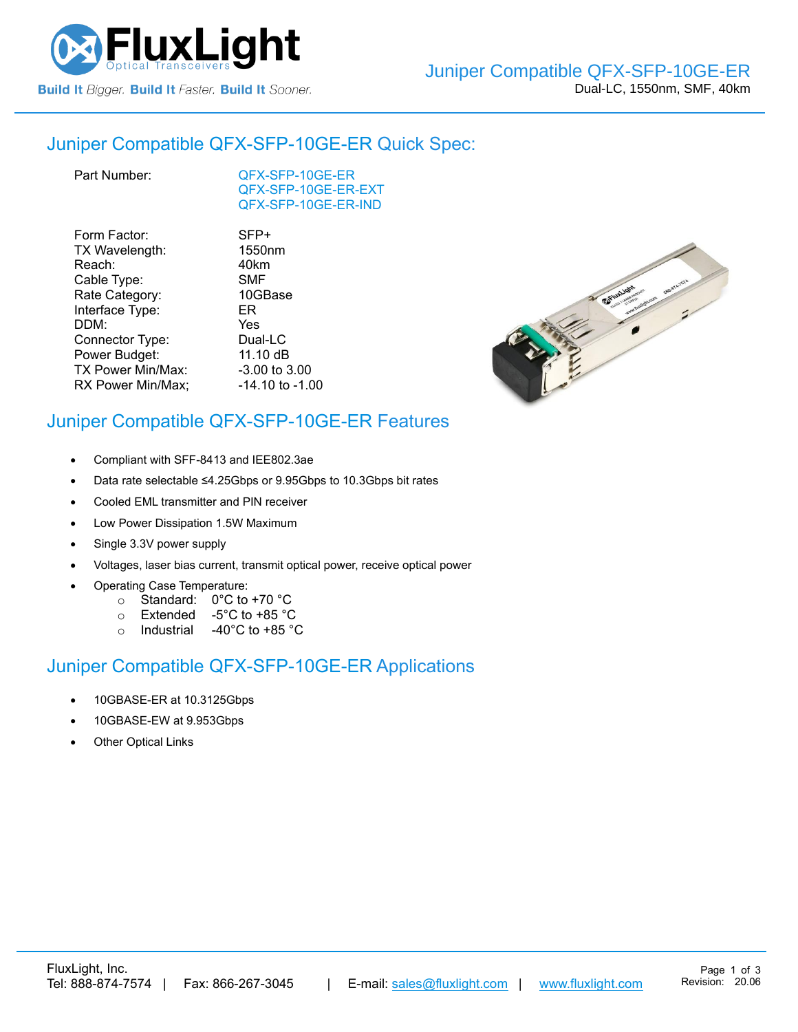

## Juniper Compatible [QFX-SFP-10GE-ER](https://www.fluxlight.com/QFX-SFP-10ge-er/) Quick Spec:

[QFX-SFP-10GE-ER](https://www.fluxlight.com/QFX-SFP-10ge-er/) [QFX-SFP-10GE-ER-](https://www.fluxlight.com/QFX-SFP-10ge-er/)EXT [QFX-SFP-10GE-ER-](https://www.fluxlight.com/QFX-SFP-10ge-er/)IND

| Form Factor:      | SFP+            |
|-------------------|-----------------|
| TX Wavelength:    | 1550nm          |
| Reach:            | 40km            |
| Cable Type:       | SMF             |
| Rate Category:    | 10GBase         |
| Interface Type:   | ER              |
| DDM:              | Yes             |
| Connector Type:   | Dual-LC         |
| Power Budget:     | 11.10 dB        |
| TX Power Min/Max: | -3.00 to 3.00   |
| RX Power Min/Max; | -14.10 to -1.00 |



## Juniper Compatible [QFX-SFP-10GE-ER](https://www.fluxlight.com/QFX-SFP-10ge-er/) Features

- Compliant with SFF-8413 and IEE802.3ae
- Data rate selectable ≤4.25Gbps or 9.95Gbps to 10.3Gbps bit rates
- Cooled EML transmitter and PIN receiver
- Low Power Dissipation 1.5W Maximum
- Single 3.3V power supply
- Voltages, laser bias current, transmit optical power, receive optical power
- Operating Case Temperature:
	- o Standard: 0°C to +70 °C
	- o Extended -5°C to +85 °C
	- o Industrial -40°C to +85 °C

### Juniper Compatible [QFX-SFP-10GE-ER](https://www.fluxlight.com/QFX-SFP-10ge-er/) Applications

- 10GBASE-ER at 10.3125Gbps
- 10GBASE-EW at 9.953Gbps
- **Other Optical Links**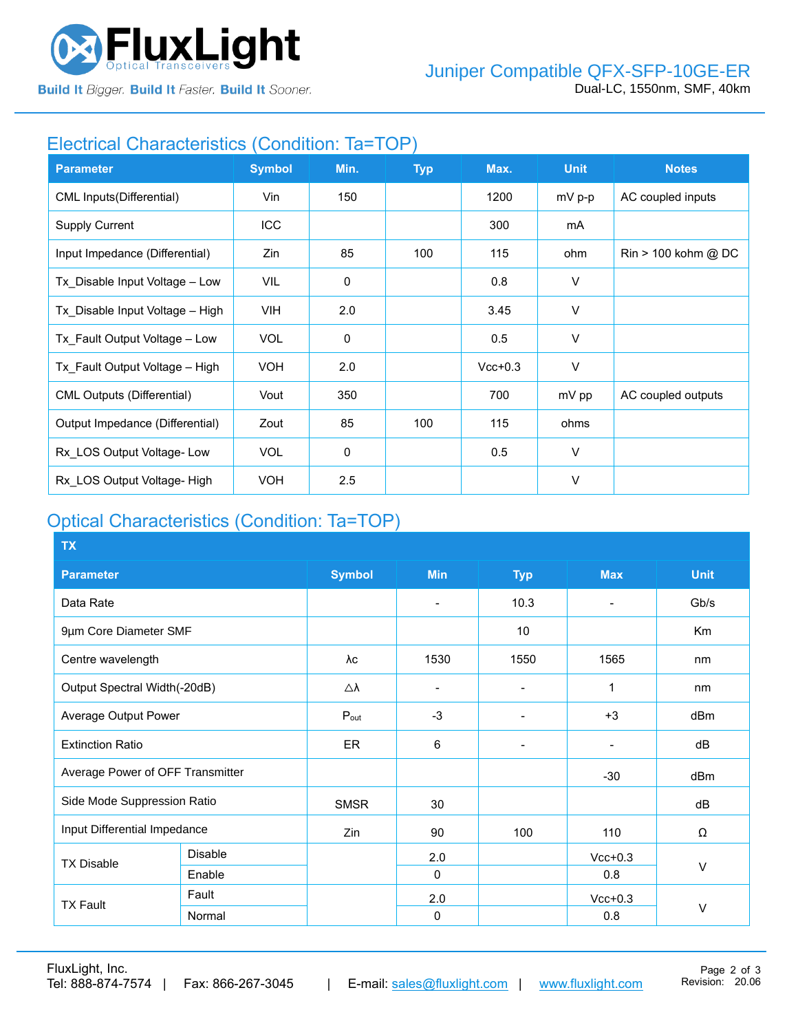

**Build It Bigger. Build It Faster. Build It Sooner.** 

## Electrical Characteristics (Condition: Ta=TOP)

| <b>Parameter</b>                  | <b>Symbol</b> | Min.        | <b>Typ</b> | Max.      | <b>Unit</b> | <b>Notes</b>                          |
|-----------------------------------|---------------|-------------|------------|-----------|-------------|---------------------------------------|
| <b>CML Inputs(Differential)</b>   | Vin           | 150         |            | 1200      | mV p-p      | AC coupled inputs                     |
| <b>Supply Current</b>             | ICC           |             |            | 300       | mA          |                                       |
| Input Impedance (Differential)    | Zin           | 85          | 100        | 115       | ohm         | $\text{Rin} > 100 \text{ kohm } @$ DC |
| Tx_Disable Input Voltage - Low    | VIL           | $\mathbf 0$ |            | 0.8       | V           |                                       |
| Tx Disable Input Voltage - High   | VIH.          | 2.0         |            | 3.45      | V           |                                       |
| Tx Fault Output Voltage - Low     | <b>VOL</b>    | $\mathbf 0$ |            | 0.5       | $\vee$      |                                       |
| Tx Fault Output Voltage - High    | <b>VOH</b>    | 2.0         |            | $Vcc+0.3$ | V           |                                       |
| <b>CML Outputs (Differential)</b> | Vout          | 350         |            | 700       | mV pp       | AC coupled outputs                    |
| Output Impedance (Differential)   | Zout          | 85          | 100        | 115       | ohms        |                                       |
| Rx LOS Output Voltage-Low         | <b>VOL</b>    | 0           |            | 0.5       | $\vee$      |                                       |
| Rx LOS Output Voltage- High       | <b>VOH</b>    | 2.5         |            |           | $\vee$      |                                       |

# Optical Characteristics (Condition: Ta=TOP)

| <b>TX</b>                        |                |                  |                          |                              |                          |                |
|----------------------------------|----------------|------------------|--------------------------|------------------------------|--------------------------|----------------|
| <b>Parameter</b>                 |                | <b>Symbol</b>    | <b>Min</b>               | <b>Typ</b>                   | <b>Max</b>               | <b>Unit</b>    |
| Data Rate                        |                |                  | $\overline{\phantom{0}}$ | 10.3                         | $\overline{\phantom{a}}$ | Gb/s           |
| 9µm Core Diameter SMF            |                |                  |                          | 10                           |                          | K <sub>m</sub> |
| Centre wavelength                |                | λc               | 1530                     | 1550                         | 1565                     | nm             |
| Output Spectral Width(-20dB)     |                | Δλ               |                          |                              | 1                        | nm             |
| Average Output Power             |                | $P_{\text{out}}$ | $-3$                     |                              | $+3$                     | dBm            |
| <b>Extinction Ratio</b>          |                | <b>ER</b>        | 6                        | $\qquad \qquad \blacksquare$ | $\blacksquare$           | dB             |
| Average Power of OFF Transmitter |                |                  |                          |                              | $-30$                    | dBm            |
| Side Mode Suppression Ratio      |                | <b>SMSR</b>      | 30                       |                              |                          | dB             |
| Input Differential Impedance     |                | Zin              | 90                       | 100                          | 110                      | Ω              |
| <b>TX Disable</b>                | <b>Disable</b> |                  | 2.0                      |                              | $Vcc+0.3$                |                |
|                                  | Enable         |                  | $\Omega$                 |                              | 0.8                      | V              |
| <b>TX Fault</b>                  | Fault          |                  | 2.0                      |                              | $Vcc+0.3$                |                |
|                                  | Normal         |                  | 0                        |                              | 0.8                      | $\vee$         |